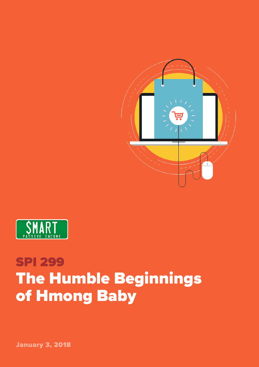



## SPI 299 The Humble Beginnings of Hmong Baby

January 3, 2018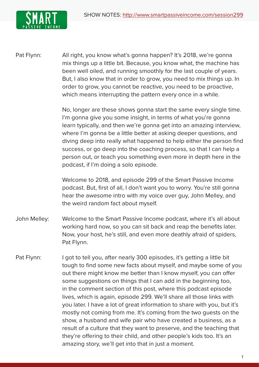

Pat Flynn: All right, you know what's gonna happen? It's 2018, we're gonna mix things up a little bit. Because, you know what, the machine has been well oiled, and running smoothly for the last couple of years. But, I also know that in order to grow, you need to mix things up. In order to grow, you cannot be reactive, you need to be proactive, which means interrupting the pattern every once in a while.

> No, longer are these shows gonna start the same every single time. I'm gonna give you some insight, in terms of what you're gonna learn typically, and then we're gonna get into an amazing interview, where I'm gonna be a little better at asking deeper questions, and diving deep into really what happened to help either the person find success, or go deep into the coaching process, so that I can help a person out, or teach you something even more in depth here in the podcast, if I'm doing a solo episode.

Welcome to 2018, and episode 299 of the Smart Passive Income podcast. But, first of all, I don't want you to worry. You're still gonna hear the awesome intro with my voice over guy, John Melley, and the weird random fact about myself.

- John Melley: Welcome to the Smart Passive Income podcast, where it's all about working hard now, so you can sit back and reap the benefits later. Now, your host, he's still, and even more deathly afraid of spiders, Pat Flynn.
- Pat Flynn: I got to tell you, after nearly 300 episodes, it's getting a little bit tough to find some new facts about myself, and maybe some of you out there might know me better than I know myself, you can offer some suggestions on things that I can add in the beginning too, in the comment section of this post, where this podcast episode lives, which is again, episode 299. We'll share all those links with you later. I have a lot of great information to share with you, but it's mostly not coming from me. It's coming from the two guests on the show, a husband and wife pair who have created a business, as a result of a culture that they want to preserve, and the teaching that they're offering to their child, and other people's kids too. It's an amazing story, we'll get into that in just a moment.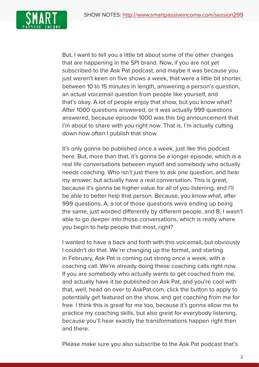

But, I want to tell you a little bit about some of the other changes that are happening in the SPI brand. Now, if you are not yet subscribed to the Ask Pat podcast, and maybe it was because you just weren't keen on five shows a week, that were a little bit shorter. between 10 to 15 minutes in length, answering a person's question, an actual voicemail question from people like yourself, and that's okay. A lot of people enjoy that show, but you know what? After 1000 questions answered, or it was actually 999 questions answered, because episode 1000 was this big announcement that I'm about to share with you right now. That is, I'm actually cutting down how often I publish that show.

It's only gonna be published once a week, just like this podcast here. But, more than that, it's gonna be a longer episode, which is a real life conversations between myself and somebody who actually needs coaching. Who isn't just there to ask one question, and hear my answer, but actually have a real conversation. This is great, because it's gonna be higher value for all of you listening, and I'll be able to better help that person. Because, you know what, after 999 questions, A, a lot of those questions were ending up being the same, just worded differently by different people, and B, I wasn't able to go deeper into those conversations, which is really where you begin to help people that most, right?

I wanted to have a back and forth with this voicemail, but obviously I couldn't do that. We're changing up the format, and starting in February, Ask Pat is coming out strong once a week, with a coaching call. We're already doing these coaching calls right now. If you are somebody who actually wants to get coached from me, and actually have it be published on Ask Pat, and you're cool with that, well, head on over to AskPat.com, click the button to apply to potentially get featured on the show, and get coaching from me for free. I think this is great for me too, because it's gonna allow me to practice my coaching skills, but also great for everybody listening, because you'll hear exactly the transformations happen right then and there.

Please make sure you also subscribe to the Ask Pat podcast that's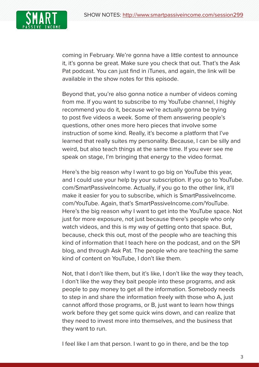

coming in February. We're gonna have a little contest to announce it, it's gonna be great. Make sure you check that out. That's the Ask Pat podcast. You can just find in iTunes, and again, the link will be available in the show notes for this episode.

Beyond that, you're also gonna notice a number of videos coming from me. If you want to subscribe to my YouTube channel, I highly recommend you do it, because we're actually gonna be trying to post five videos a week. Some of them answering people's questions, other ones more hero pieces that involve some instruction of some kind. Really, it's become a platform that I've learned that really suites my personality. Because, I can be silly and weird, but also teach things at the same time. If you ever see me speak on stage, I'm bringing that energy to the video format.

Here's the big reason why I want to go big on YouTube this year, and I could use your help by your subscription. If you go to YouTube. com/SmartPassiveIncome. Actually, if you go to the other link, it'll make it easier for you to subscribe, which is SmartPassiveIncome. com/YouTube. Again, that's SmartPassiveIncome.com/YouTube. Here's the big reason why I want to get into the YouTube space. Not just for more exposure, not just because there's people who only watch videos, and this is my way of getting onto that space. But, because, check this out, most of the people who are teaching this kind of information that I teach here on the podcast, and on the SPI blog, and through Ask Pat. The people who are teaching the same kind of content on YouTube, I don't like them.

Not, that I don't like them, but it's like, I don't like the way they teach, I don't like the way they bait people into these programs, and ask people to pay money to get all the information. Somebody needs to step in and share the information freely with those who A, just cannot afford those programs, or B, just want to learn how things work before they get some quick wins down, and can realize that they need to invest more into themselves, and the business that they want to run.

I feel like I am that person. I want to go in there, and be the top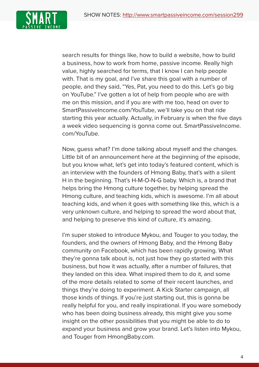

search results for things like, how to build a website, how to build a business, how to work from home, passive income. Really high value, highly searched for terms, that I know I can help people with. That is my goal, and I've share this goal with a number of people, and they said, "Yes, Pat, you need to do this. Let's go big on YouTube." I've gotten a lot of help from people who are with me on this mission, and if you are with me too, head on over to SmartPassiveIncome.com/YouTube, we'll take you on that ride starting this year actually. Actually, in February is when the five days a week video sequencing is gonna come out. SmartPassiveIncome. com/YouTube.

Now, guess what? I'm done talking about myself and the changes. Little bit of an announcement here at the beginning of the episode, but you know what, let's get into today's featured content, which is an interview with the founders of Hmong Baby, that's with a silent H in the beginning. That's H-M-O-N-G baby. Which is, a brand that helps bring the Hmong culture together, by helping spread the Hmong culture, and teaching kids, which is awesome. I'm all about teaching kids, and when it goes with something like this, which is a very unknown culture, and helping to spread the word about that, and helping to preserve this kind of culture, it's amazing.

I'm super stoked to introduce Mykou, and Touger to you today, the founders, and the owners of Hmong Baby, and the Hmong Baby community on Facebook, which has been rapidly growing. What they're gonna talk about is, not just how they go started with this business, but how it was actually, after a number of failures, that they landed on this idea. What inspired them to do it, and some of the more details related to some of their recent launches, and things they're doing to experiment. A Kick Starter campaign, all those kinds of things. If you're just starting out, this is gonna be really helpful for you, and really inspirational. If you ware somebody who has been doing business already, this might give you some insight on the other possibilities that you might be able to do to expand your business and grow your brand. Let's listen into Mykou, and Touger from HmongBaby.com.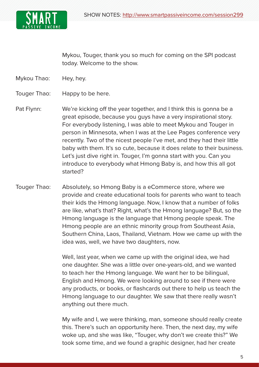

Mykou, Touger, thank you so much for coming on the SPI podcast today. Welcome to the show.

- Mykou Thao: Hey, hey.
- Touger Thao: Happy to be here.
- Pat Flynn: We're kicking off the year together, and I think this is gonna be a great episode, because you guys have a very inspirational story. For everybody listening, I was able to meet Mykou and Touger in person in Minnesota, when I was at the Lee Pages conference very recently. Two of the nicest people I've met, and they had their little baby with them. It's so cute, because it does relate to their business. Let's just dive right in. Touger, I'm gonna start with you. Can you introduce to everybody what Hmong Baby is, and how this all got started?
- Touger Thao: Absolutely, so Hmong Baby is a eCommerce store, where we provide and create educational tools for parents who want to teach their kids the Hmong language. Now, I know that a number of folks are like, what's that? Right, what's the Hmong language? But, so the Hmong language is the language that Hmong people speak. The Hmong people are an ethnic minority group from Southeast Asia, Southern China, Laos, Thailand, Vietnam. How we came up with the idea was, well, we have two daughters, now.

Well, last year, when we came up with the original idea, we had one daughter. She was a little over one-years-old, and we wanted to teach her the Hmong language. We want her to be bilingual, English and Hmong. We were looking around to see if there were any products, or books, or flashcards out there to help us teach the Hmong language to our daughter. We saw that there really wasn't anything out there much.

My wife and I, we were thinking, man, someone should really create this. There's such an opportunity here. Then, the next day, my wife woke up, and she was like, "Touger, why don't we create this?" We took some time, and we found a graphic designer, had her create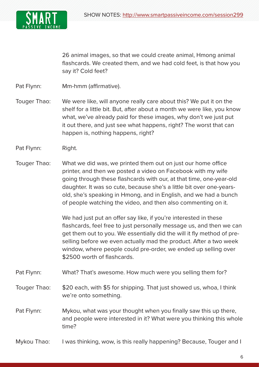

26 animal images, so that we could create animal, Hmong animal flashcards. We created them, and we had cold feet, is that how you say it? Cold feet?

Pat Flynn: Mm-hmm (affirmative).

- Touger Thao: We were like, will anyone really care about this? We put it on the shelf for a little bit. But, after about a month we were like, you know what, we've already paid for these images, why don't we just put it out there, and just see what happens, right? The worst that can happen is, nothing happens, right?
- Pat Flynn: Right.
- Touger Thao: What we did was, we printed them out on just our home office printer, and then we posted a video on Facebook with my wife going through these flashcards with our, at that time, one-year-old daughter. It was so cute, because she's a little bit over one-yearsold, she's speaking in Hmong, and in English, and we had a bunch of people watching the video, and then also commenting on it.

We had just put an offer say like, if you're interested in these flashcards, feel free to just personally message us, and then we can get them out to you. We essentially did the will it fly method of preselling before we even actually mad the product. After a two week window, where people could pre-order, we ended up selling over \$2500 worth of flashcards.

Pat Flynn: What? That's awesome. How much were you selling them for?

## Touger Thao: \$20 each, with \$5 for shipping. That just showed us, whoa, I think we're onto something.

- Pat Flynn: Mykou, what was your thought when you finally saw this up there, and people were interested in it? What were you thinking this whole time?
- Mykou Thao: I was thinking, wow, is this really happening? Because, Touger and I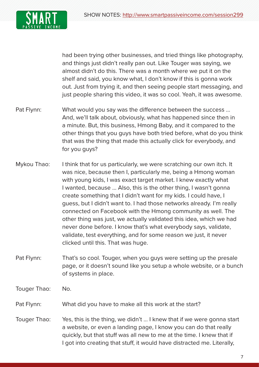

had been trying other businesses, and tried things like photography, and things just didn't really pan out. Like Touger was saying, we almost didn't do this. There was a month where we put it on the shelf and said, you know what, I don't know if this is gonna work out. Just from trying it, and then seeing people start messaging, and just people sharing this video, it was so cool. Yeah, it was awesome.

- Pat Flynn: What would you say was the difference between the success ... And, we'll talk about, obviously, what has happened since then in a minute. But, this business, Hmong Baby, and it compared to the other things that you guys have both tried before, what do you think that was the thing that made this actually click for everybody, and for you guys?
- Mykou Thao: I think that for us particularly, we were scratching our own itch. It was nice, because then I, particularly me, being a Hmong woman with young kids, I was exact target market. I knew exactly what I wanted, because ... Also, this is the other thing, I wasn't gonna create something that I didn't want for my kids. I could have, I guess, but I didn't want to. I had those networks already. I'm really connected on Facebook with the Hmong community as well. The other thing was just, we actually validated this idea, which we had never done before. I know that's what everybody says, validate, validate, test everything, and for some reason we just, it never clicked until this. That was huge.
- Pat Flynn: That's so cool. Touger, when you guys were setting up the presale page, or it doesn't sound like you setup a whole website, or a bunch of systems in place.
- Touger Thao: No.
- Pat Flynn: What did you have to make all this work at the start?
- Touger Thao: Yes, this is the thing, we didn't ... I knew that if we were gonna start a website, or even a landing page, I know you can do that really quickly, but that stuff was all new to me at the time. I knew that if I got into creating that stuff, it would have distracted me. Literally,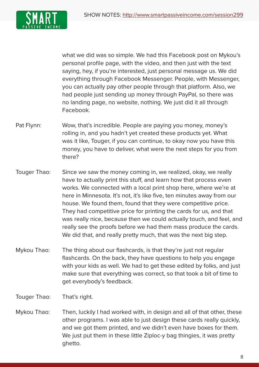

what we did was so simple. We had this Facebook post on Mykou's personal profile page, with the video, and then just with the text saying, hey, if you're interested, just personal message us. We did everything through Facebook Messenger. People, with Messenger, you can actually pay other people through that platform. Also, we had people just sending up money through PayPal, so there was no landing page, no website, nothing. We just did it all through Facebook.

- Pat Flynn: Wow, that's incredible. People are paying you money, money's rolling in, and you hadn't yet created these products yet. What was it like, Touger, if you can continue, to okay now you have this money, you have to deliver, what were the next steps for you from there?
- Touger Thao: Since we saw the money coming in, we realized, okay, we really have to actually print this stuff, and learn how that process even works. We connected with a local print shop here, where we're at here in Minnesota. It's not, it's like five, ten minutes away from our house. We found them, found that they were competitive price. They had competitive price for printing the cards for us, and that was really nice, because then we could actually touch, and feel, and really see the proofs before we had them mass produce the cards. We did that, and really pretty much, that was the next big step.
- Mykou Thao: The thing about our flashcards, is that they're just not regular flashcards. On the back, they have questions to help you engage with your kids as well. We had to get these edited by folks, and just make sure that everything was correct, so that took a bit of time to get everybody's feedback.
- Touger Thao: That's right.
- Mykou Thao: Then, luckily I had worked with, in design and all of that other, these other programs. I was able to just design these cards really quickly, and we got them printed, and we didn't even have boxes for them. We just put them in these little Ziploc-y bag thingies, it was pretty ghetto.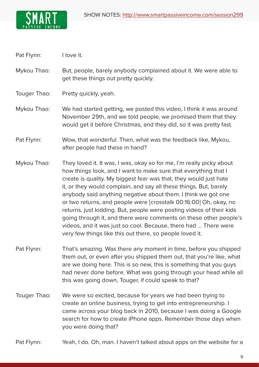

Pat Flynn: I love it.

Mykou Thao: But, people, barely anybody complained about it. We were able to get these things out pretty quickly.

Touger Thao: Pretty quickly, yeah.

Mykou Thao: We had started getting, we posted this video, I think it was around November 29th, and we told people, we promised them that they would get it before Christmas, and they did, so it was pretty fast.

Pat Flynn: Wow, that wonderful. Then, what was the feedback like, Mykou, after people had these in hand?

- Mykou Thao: They loved it. It was, I was, okay so for me, I'm really picky about how things look, and I want to make sure that everything that I create is quality. My biggest fear was that, they would just hate it, or they would complain, and say all these things. But, barely anybody said anything negative about them. I think we got one or two returns, and people were [crosstalk 00:16:00] Oh, okay, no returns, just kidding. But, people were posting videos of their kids going through it, and there were comments on these other people's videos, and it was just so cool. Because, there had ... There were very few things like this out there, so people loved it.
- Pat Flynn: That's amazing. Was there any moment in time, before you shipped them out, or even after you shipped them out, that you're like, what are we doing here. This is so new, this is something that you guys had never done before. What was going through your head while all this was going down, Touger, if could speak to that?
- Touger Thao: We were so excited, because for years we had been trying to create an online business, trying to get into entrepreneurship. I came across your blog back in 2010, because I was doing a Google search for how to create iPhone apps. Remember those days when you were doing that?

Pat Flynn: Yeah, I do. Oh, man. I haven't talked about apps on the website for a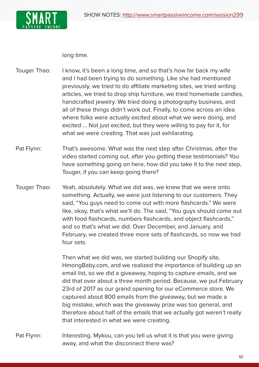



long time.

- Touger Thao: I know, it's been a long time, and so that's how far back my wife and I had been trying to do something. Like she had mentioned previously, we tried to do affiliate marketing sites, we tried writing articles, we tried to drop ship furniture, we tried homemade candles, handcrafted jewelry. We tried doing a photography business, and all of these things didn't work out. Finally, to come across an idea where folks were actually excited about what we were doing, and excited ... Not just excited, but they were willing to pay for it, for what we were creating. That was just exhilarating.
- Pat Flynn: That's awesome. What was the next step after Christmas, after the video started coming out, after you getting these testimonials? You have something going on here, how did you take it to the next step, Touger, if you can keep going there?
- Touger Thao: Yeah, absolutely. What we did was, we knew that we were onto something. Actually, we were just listening to our customers. They said, "You guys need to come out with more flashcards." We were like, okay, that's what we'll do. The said, "You guys should come out with food flashcards, numbers flashcards, and object flashcards," and so that's what we did. Over December, and January, and February, we created three more sets of flashcards, so now we had four sets.

Then what we did was, we started building our Shopify site, HmongBaby.com, and we realized the importance of building up an email list, so we did a giveaway, hoping to capture emails, and we did that over about a three month period. Because, we put February 23rd of 2017 as our grand opening for our eCommerce store. We captured about 800 emails from the giveaway, but we made a big mistake, which was the giveaway prize was too general, and therefore about half of the emails that we actually got weren't really that interested in what we were creating.

Pat Flynn: Interesting. Mykou, can you tell us what it is that you were giving away, and what the disconnect there was?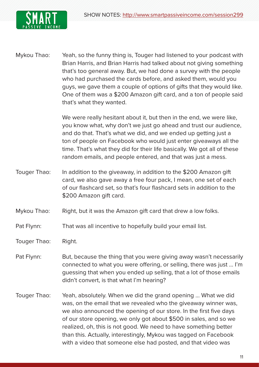

Mykou Thao: Yeah, so the funny thing is, Touger had listened to your podcast with Brian Harris, and Brian Harris had talked about not giving something that's too general away. But, we had done a survey with the people who had purchased the cards before, and asked them, would you guys, we gave them a couple of options of gifts that they would like. One of them was a \$200 Amazon gift card, and a ton of people said that's what they wanted.

> We were really hesitant about it, but then in the end, we were like, you know what, why don't we just go ahead and trust our audience, and do that. That's what we did, and we ended up getting just a ton of people on Facebook who would just enter giveaways all the time. That's what they did for their life basically. We got all of these random emails, and people entered, and that was just a mess.

- Touger Thao: In addition to the giveaway, in addition to the \$200 Amazon gift card, we also gave away a free four pack, I mean, one set of each of our flashcard set, so that's four flashcard sets in addition to the \$200 Amazon gift card.
- Mykou Thao: Right, but it was the Amazon gift card that drew a low folks.
- Pat Flynn: That was all incentive to hopefully build your email list.
- Touger Thao: Right.
- Pat Flynn: But, because the thing that you were giving away wasn't necessarily connected to what you were offering, or selling, there was just ... I'm guessing that when you ended up selling, that a lot of those emails didn't convert, is that what I'm hearing?
- Touger Thao: Yeah, absolutely. When we did the grand opening ... What we did was, on the email that we revealed who the giveaway winner was, we also announced the opening of our store. In the first five days of our store opening, we only got about \$500 in sales, and so we realized, oh, this is not good. We need to have something better than this. Actually, interestingly, Mykou was tagged on Facebook with a video that someone else had posted, and that video was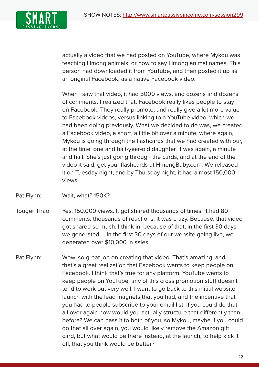

actually a video that we had posted on YouTube, where Mykou was teaching Hmong animals, or how to say Hmong animal names. This person had downloaded it from YouTube, and then posted it up as an original Facebook, as a native Facebook video.

When I saw that video, it had 5000 views, and dozens and dozens of comments. I realized that, Facebook really likes people to stay on Facebook. They really promote, and really give a lot more value to Facebook videos, versus linking to a YouTube video, which we had been doing previously. What we decided to do was, we created a Facebook video, a short, a little bit over a minute, where again, Mykou is going through the flashcards that we had created with our, at the time, one and half-year-old daughter. It was again, a minute and half. She's just going through the cards, and at the end of the video it said, get your flashcards at HmongBaby.com. We released it on Tuesday night, and by Thursday night, it had almost 150,000 views.

- Pat Flynn: Wait, what? 150K?
- Touger Thao: Yes. 150,000 views. It got shared thousands of times. It had 80 comments, thousands of reactions. It was crazy. Because, that video got shared so much, I think in, because of that, in the first 30 days we generated ... In the first 30 days of our website going live, we generated over \$10,000 in sales.
- Pat Flynn: Wow, so great job on creating that video. That's amazing, and that's a great realization that Facebook wants to keep people on Facebook. I think that's true for any platform. YouTube wants to keep people on YouTube, any of this cross promotion stuff doesn't tend to work out very well. I want to go back to this initial website launch with the lead magnets that you had, and the incentive that you had to people subscribe to your email list. If you could do that all over again how would you actually structure that differently than before? We can pass it to both of you, so Mykou, maybe if you could do that all over again, you would likely remove the Amazon gift card, but what would be there instead, at the launch, to help kick it off, that you think would be better?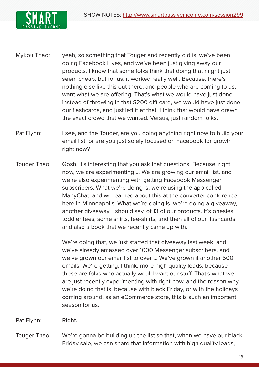

- Mykou Thao: yeah, so something that Touger and recently did is, we've been doing Facebook Lives, and we've been just giving away our products. I know that some folks think that doing that might just seem cheap, but for us, it worked really well. Because, there's nothing else like this out there, and people who are coming to us, want what we are offering. That's what we would have just done instead of throwing in that \$200 gift card, we would have just done our flashcards, and just left it at that. I think that would have drawn the exact crowd that we wanted. Versus, just random folks.
- Pat Flynn: I see, and the Touger, are you doing anything right now to build your email list, or are you just solely focused on Facebook for growth right now?
- Touger Thao: Gosh, it's interesting that you ask that questions. Because, right now, we are experimenting ... We are growing our email list, and we're also experimenting with getting Facebook Messenger subscribers. What we're doing is, we're using the app called ManyChat, and we learned about this at the converter conference here in Minneapolis. What we're doing is, we're doing a giveaway, another giveaway, I should say, of 13 of our products. It's onesies, toddler tees, some shirts, tee-shirts, and then all of our flashcards, and also a book that we recently came up with.

We're doing that, we just started that giveaway last week, and we've already amassed over 1000 Messenger subscribers, and we've grown our email list to over ... We've grown it another 500 emails. We're getting, I think, more high quality leads, because these are folks who actually would want our stuff. That's what we are just recently experimenting with right now, and the reason why we're doing that is, because with black Friday, or with the holidays coming around, as an eCommerce store, this is such an important season for us.

Pat Flynn: Right.

Touger Thao: We're gonna be building up the list so that, when we have our black Friday sale, we can share that information with high quality leads,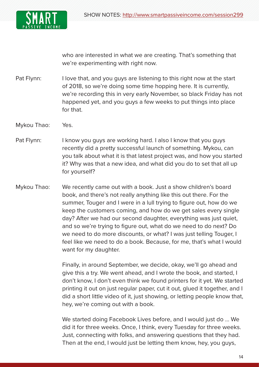

who are interested in what we are creating. That's something that we're experimenting with right now.

- Pat Flynn: I love that, and you guys are listening to this right now at the start of 2018, so we're doing some time hopping here. It is currently, we're recording this in very early November, so black Friday has not happened yet, and you guys a few weeks to put things into place for that.
- Mykou Thao: Yes.
- Pat Flynn: I know you guys are working hard. I also I know that you guys recently did a pretty successful launch of something. Mykou, can you talk about what it is that latest project was, and how you started it? Why was that a new idea, and what did you do to set that all up for yourself?
- Mykou Thao: We recently came out with a book. Just a show children's board book, and there's not really anything like this out there. For the summer, Touger and I were in a lull trying to figure out, how do we keep the customers coming, and how do we get sales every single day? After we had our second daughter, everything was just quiet, and so we're trying to figure out, what do we need to do next? Do we need to do more discounts, or what? I was just telling Touger, I feel like we need to do a book. Because, for me, that's what I would want for my daughter.

Finally, in around September, we decide, okay, we'll go ahead and give this a try. We went ahead, and I wrote the book, and started, I don't know, I don't even think we found printers for it yet. We started printing it out on just regular paper, cut it out, glued it together, and I did a short little video of it, just showing, or letting people know that, hey, we're coming out with a book.

We started doing Facebook Lives before, and I would just do ... We did it for three weeks. Once, I think, every Tuesday for three weeks. Just, connecting with folks, and answering questions that they had. Then at the end, I would just be letting them know, hey, you guys,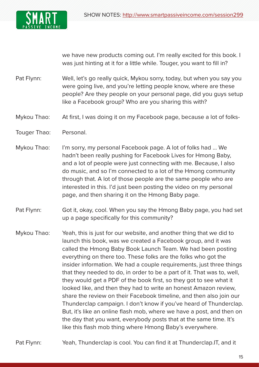

we have new products coming out. I'm really excited for this book. I was just hinting at it for a little while. Touger, you want to fill in?

- Pat Flynn: Well, let's go really quick, Mykou sorry, today, but when you say you were going live, and you're letting people know, where are these people? Are they people on your personal page, did you guys setup like a Facebook group? Who are you sharing this with?
- Mykou Thao: At first, I was doing it on my Facebook page, because a lot of folks-
- Touger Thao: Personal.
- Mykou Thao: I'm sorry, my personal Facebook page. A lot of folks had ... We hadn't been really pushing for Facebook Lives for Hmong Baby, and a lot of people were just connecting with me. Because, I also do music, and so I'm connected to a lot of the Hmong community through that. A lot of those people are the same people who are interested in this. I'd just been posting the video on my personal page, and then sharing it on the Hmong Baby page.
- Pat Flynn: Got it, okay, cool. When you say the Hmong Baby page, you had set up a page specifically for this community?
- Mykou Thao: Yeah, this is just for our website, and another thing that we did to launch this book, was we created a Facebook group, and it was called the Hmong Baby Book Launch Team. We had been posting everything on there too. These folks are the folks who got the insider information. We had a couple requirements, just three things that they needed to do, in order to be a part of it. That was to, well, they would get a PDF of the book first, so they got to see what it looked like, and then they had to write an honest Amazon review, share the review on their Facebook timeline, and then also join our Thunderclap campaign. I don't know if you've heard of Thunderclap. But, it's like an online flash mob, where we have a post, and then on the day that you want, everybody posts that at the same time. It's like this flash mob thing where Hmong Baby's everywhere.
- Pat Flynn: Yeah, Thunderclap is cool. You can find it at Thunderclap.IT, and it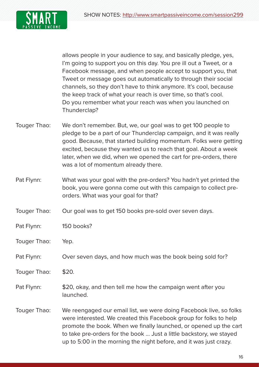

allows people in your audience to say, and basically pledge, yes, I'm going to support you on this day. You pre ill out a Tweet, or a Facebook message, and when people accept to support you, that Tweet or message goes out automatically to through their social channels, so they don't have to think anymore. It's cool, because the keep track of what your reach is over time, so that's cool. Do you remember what your reach was when you launched on Thunderclap?

- Touger Thao: We don't remember. But, we, our goal was to get 100 people to pledge to be a part of our Thunderclap campaign, and it was really good. Because, that started building momentum. Folks were getting excited, because they wanted us to reach that goal. About a week later, when we did, when we opened the cart for pre-orders, there was a lot of momentum already there.
- Pat Flynn: What was your goal with the pre-orders? You hadn't yet printed the book, you were gonna come out with this campaign to collect preorders. What was your goal for that?
- Touger Thao: Our goal was to get 150 books pre-sold over seven days.
- Pat Flynn: 150 books?
- Touger Thao: Yep.
- Pat Flynn: Over seven days, and how much was the book being sold for?
- Touger Thao: \$20.
- Pat Flynn: \$20, okay, and then tell me how the campaign went after you launched.
- Touger Thao: We reengaged our email list, we were doing Facebook live, so folks were interested. We created this Facebook group for folks to help promote the book. When we finally launched, or opened up the cart to take pre-orders for the book ... Just a little backstory, we stayed up to 5:00 in the morning the night before, and it was just crazy.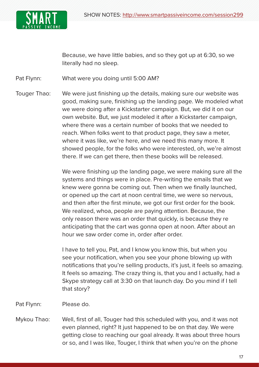

Because, we have little babies, and so they got up at 6:30, so we literally had no sleep.

Pat Flynn: What were you doing until 5:00 AM?

Touger Thao: We were just finishing up the details, making sure our website was good, making sure, finishing up the landing page. We modeled what we were doing after a Kickstarter campaign. But, we did it on our own website. But, we just modeled it after a Kickstarter campaign, where there was a certain number of books that we needed to reach. When folks went to that product page, they saw a meter, where it was like, we're here, and we need this many more. It showed people, for the folks who were interested, oh, we're almost there. If we can get there, then these books will be released.

> We were finishing up the landing page, we were making sure all the systems and things were in place. Pre-writing the emails that we knew were gonna be coming out. Then when we finally launched, or opened up the cart at noon central time, we were so nervous, and then after the first minute, we got our first order for the book. We realized, whoa, people are paying attention. Because, the only reason there was an order that quickly, is because they re anticipating that the cart was gonna open at noon. After about an hour we saw order come in, order after order.

> I have to tell you, Pat, and I know you know this, but when you see your notification, when you see your phone blowing up with notifications that you're selling products, it's just, it feels so amazing. It feels so amazing. The crazy thing is, that you and I actually, had a Skype strategy call at 3:30 on that launch day. Do you mind if I tell that story?

Pat Flynn: Please do.

Mykou Thao: Well, first of all, Touger had this scheduled with you, and it was not even planned, right? It just happened to be on that day. We were getting close to reaching our goal already. It was about three hours or so, and I was like, Touger, I think that when you're on the phone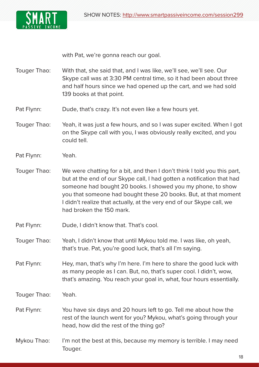

with Pat, we're gonna reach our goal.

- Touger Thao: With that, she said that, and I was like, we'll see, we'll see. Our Skype call was at 3:30 PM central time, so it had been about three and half hours since we had opened up the cart, and we had sold 139 books at that point.
- Pat Flynn: Dude, that's crazy. It's not even like a few hours yet.
- Touger Thao: Yeah, it was just a few hours, and so I was super excited. When I got on the Skype call with you, I was obviously really excited, and you could tell.
- Pat Flynn: Yeah.
- Touger Thao: We were chatting for a bit, and then I don't think I told you this part, but at the end of our Skype call, I had gotten a notification that had someone had bought 20 books. I showed you my phone, to show you that someone had bought these 20 books. But, at that moment I didn't realize that actually, at the very end of our Skype call, we had broken the 150 mark.
- Pat Flynn: Dude, I didn't know that. That's cool.
- Touger Thao: Yeah, I didn't know that until Mykou told me. I was like, oh yeah, that's true. Pat, you're good luck, that's all I'm saying.
- Pat Flynn: Hey, man, that's why I'm here. I'm here to share the good luck with as many people as I can. But, no, that's super cool. I didn't, wow, that's amazing. You reach your goal in, what, four hours essentially.
- Touger Thao: Yeah.
- Pat Flynn: You have six days and 20 hours left to go. Tell me about how the rest of the launch went for you? Mykou, what's going through your head, how did the rest of the thing go?
- Mykou Thao: I'm not the best at this, because my memory is terrible. I may need Touger.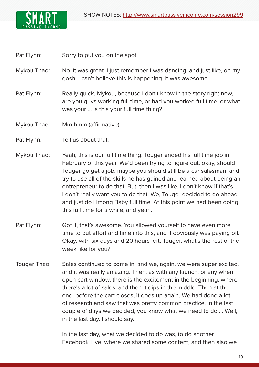

Pat Flynn: Sorry to put you on the spot.

Mykou Thao: No, it was great. I just remember I was dancing, and just like, oh my gosh, I can't believe this is happening. It was awesome.

Pat Flynn: Really quick, Mykou, because I don't know in the story right now, are you guys working full time, or had you worked full time, or what was your ... Is this your full time thing?

Mykou Thao: Mm-hmm (affirmative).

Pat Flynn: Tell us about that.

- Mykou Thao: Yeah, this is our full time thing. Touger ended his full time job in February of this year. We'd been trying to figure out, okay, should Touger go get a job, maybe you should still be a car salesman, and try to use all of the skills he has gained and learned about being an entrepreneur to do that. But, then I was like, I don't know if that's ... I don't really want you to do that. We, Touger decided to go ahead and just do Hmong Baby full time. At this point we had been doing this full time for a while, and yeah.
- Pat Flynn: Got it, that's awesome. You allowed yourself to have even more time to put effort and time into this, and it obviously was paying off. Okay, with six days and 20 hours left, Touger, what's the rest of the week like for you?
- Touger Thao: Sales continued to come in, and we, again, we were super excited, and it was really amazing. Then, as with any launch, or any when open cart window, there is the excitement in the beginning, where there's a lot of sales, and then it dips in the middle. Then at the end, before the cart closes, it goes up again. We had done a lot of research and saw that was pretty common practice. In the last couple of days we decided, you know what we need to do ... Well, in the last day, I should say.

In the last day, what we decided to do was, to do another Facebook Live, where we shared some content, and then also we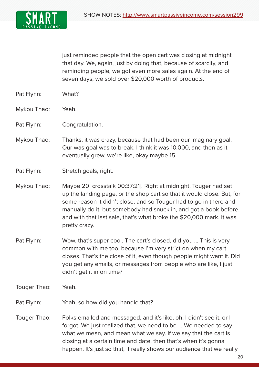

just reminded people that the open cart was closing at midnight that day. We, again, just by doing that, because of scarcity, and reminding people, we got even more sales again. At the end of seven days, we sold over \$20,000 worth of products.

- Pat Flynn: What?
- Mykou Thao: Yeah.
- Pat Flynn: Congratulation.
- Mykou Thao: Thanks, it was crazy, because that had been our imaginary goal. Our was goal was to break, I think it was 10,000, and then as it eventually grew, we're like, okay maybe 15.

- Mykou Thao: Maybe 20 [crosstalk 00:37:21]. Right at midnight, Touger had set up the landing page, or the shop cart so that it would close. But, for some reason it didn't close, and so Touger had to go in there and manually do it, but somebody had snuck in, and got a book before, and with that last sale, that's what broke the \$20,000 mark. It was pretty crazy.
- Pat Flynn: Wow, that's super cool. The cart's closed, did you ... This is very common with me too, because I'm very strict on when my cart closes. That's the close of it, even though people might want it. Did you get any emails, or messages from people who are like, I just didn't get it in on time?
- Touger Thao: Yeah.
- Pat Flynn: Yeah, so how did you handle that?
- Touger Thao: Folks emailed and messaged, and it's like, oh, I didn't see it, or I forgot. We just realized that, we need to be ... We needed to say what we mean, and mean what we say. If we say that the cart is closing at a certain time and date, then that's when it's gonna happen. It's just so that, it really shows our audience that we really

Pat Flynn: Stretch goals, right.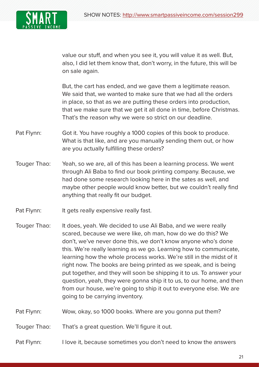

value our stuff, and when you see it, you will value it as well. But, also, I did let them know that, don't worry, in the future, this will be on sale again.

But, the cart has ended, and we gave them a legitimate reason. We said that, we wanted to make sure that we had all the orders in place, so that as we are putting these orders into production, that we make sure that we get it all done in time, before Christmas. That's the reason why we were so strict on our deadline.

- Pat Flynn: Got it. You have roughly a 1000 copies of this book to produce. What is that like, and are you manually sending them out, or how are you actually fulfilling these orders?
- Touger Thao: Yeah, so we are, all of this has been a learning process. We went through Ali Baba to find our book printing company. Because, we had done some research looking here in the sates as well, and maybe other people would know better, but we couldn't really find anything that really fit our budget.
- Pat Flynn: It gets really expensive really fast.
- Touger Thao: It does, yeah. We decided to use Ali Baba, and we were really scared, because we were like, oh man, how do we do this? We don't, we've never done this, we don't know anyone who's done this. We're really learning as we go. Learning how to communicate, learning how the whole process works. We're still in the midst of it right now. The books are being printed as we speak, and is being put together, and they will soon be shipping it to us. To answer your question, yeah, they were gonna ship it to us, to our home, and then from our house, we're going to ship it out to everyone else. We are going to be carrying inventory.
- Pat Flynn: Wow, okay, so 1000 books. Where are you gonna put them?
- Touger Thao: That's a great question. We'll figure it out.

Pat Flynn: I love it, because sometimes you don't need to know the answers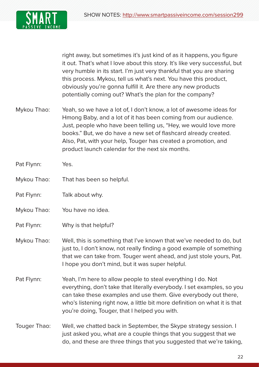

right away, but sometimes it's just kind of as it happens, you figure it out. That's what I love about this story. It's like very successful, but very humble in its start. I'm just very thankful that you are sharing this process. Mykou, tell us what's next. You have this product, obviously you're gonna fulfill it. Are there any new products potentially coming out? What's the plan for the company?

- Mykou Thao: Yeah, so we have a lot of, I don't know, a lot of awesome ideas for Hmong Baby, and a lot of it has been coming from our audience. Just, people who have been telling us, "Hey, we would love more books." But, we do have a new set of flashcard already created. Also, Pat, with your help, Touger has created a promotion, and product launch calendar for the next six months.
- Pat Flynn: Yes.
- Mykou Thao: That has been so helpful.
- Pat Flynn: Talk about why.
- Mykou Thao: You have no idea.
- Pat Flynn: Why is that helpful?
- Mykou Thao: Well, this is something that I've known that we've needed to do, but just to, I don't know, not really finding a good example of something that we can take from. Touger went ahead, and just stole yours, Pat. I hope you don't mind, but it was super helpful.
- Pat Flynn: Yeah, I'm here to allow people to steal everything I do. Not everything, don't take that literally everybody. I set examples, so you can take these examples and use them. Give everybody out there, who's listening right now, a little bit more definition on what it is that you're doing, Touger, that I helped you with.
- Touger Thao: Well, we chatted back in September, the Skype strategy session. I just asked you, what are a couple things that you suggest that we do, and these are three things that you suggested that we're taking,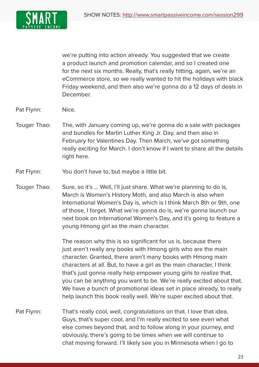

we're putting into action already. You suggested that we create a product launch and promotion calendar, and so I created one for the next six months. Really, that's really hitting, again, we're an eCommerce store, so we really wanted to hit the holidays with black Friday weekend, and then also we're gonna do a 12 days of deals in December.

Pat Flynn: Nice.

- Touger Thao: The, with January coming up, we're gonna do a sale with packages and bundles for Martin Luther King Jr. Day, and then also in February for Valentines Day. Then March, we've got something really exciting for March. I don't know if I want to share all the details right here.
- Pat Flynn: You don't have to, but maybe a little bit.
- Touger Thao: Sure, so it's ... Well, I'll just share. What we're planning to do is, March is Women's History Moth, and also March is also when International Women's Day is, which is I think March 8th or 9th, one of those, I forget. What we're gonna do is, we're gonna launch our next book on International Women's Day, and it's going to feature a young Hmong girl as the main character.

The reason why this is so significant for us is, because there just aren't really any books with Hmong girls who are the main character. Granted, there aren't many books with Hmong main characters at all. But, to have a girl as the main character, I think that's just gonna really help empower young girls to realize that, you can be anything you want to be. We're really excited about that. We have a bunch of promotional ideas set in place already, to really help launch this book really well. We're super excited about that.

Pat Flynn: That's really cool, well, congratulations on that. I love that idea. Guys, that's super cool, and I'm really excited to see even what else comes beyond that, and to follow along in your journey, and obviously, there's going to be times when we will continue to chat moving forward. I'll likely see you in Minnesota when I go to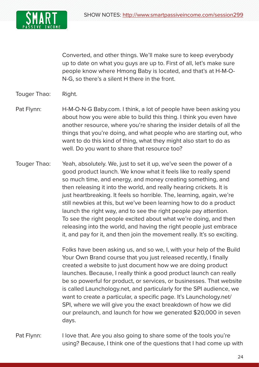

Converted, and other things. We'll make sure to keep everybody up to date on what you guys are up to. First of all, let's make sure people know where Hmong Baby is located, and that's at H-M-O-N-G, so there's a silent H there in the front.

## Touger Thao: Right.

Pat Flynn: H-M-O-N-G Baby.com. I think, a lot of people have been asking you about how you were able to build this thing. I think you even have another resource, where you're sharing the insider details of all the things that you're doing, and what people who are starting out, who want to do this kind of thing, what they might also start to do as well. Do you want to share that resource too?

Touger Thao: Yeah, absolutely. We, just to set it up, we've seen the power of a good product launch. We know what it feels like to really spend so much time, and energy, and money creating something, and then releasing it into the world, and really hearing crickets. It is just heartbreaking. It feels so horrible. The, learning, again, we're still newbies at this, but we've been learning how to do a product launch the right way, and to see the right people pay attention. To see the right people excited about what we're doing, and then releasing into the world, and having the right people just embrace it, and pay for it, and then join the movement really. It's so exciting.

> Folks have been asking us, and so we, I, with your help of the Build Your Own Brand course that you just released recently, I finally created a website to just document how we are doing product launches. Because, I really think a good product launch can really be so powerful for product, or services, or businesses. That website is called Launchology.net, and particularly for the SPI audience, we want to create a particular, a specific page. It's Launchology.net/ SPI, where we will give you the exact breakdown of how we did our prelaunch, and launch for how we generated \$20,000 in seven days.

Pat Flynn: I love that. Are you also going to share some of the tools you're using? Because, I think one of the questions that I had come up with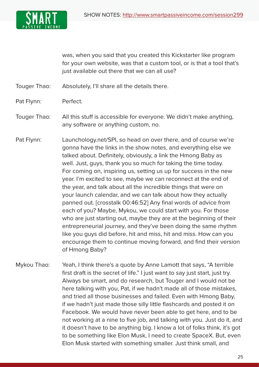

was, when you said that you created this Kickstarter like program for your own website, was that a custom tool, or is that a tool that's just available out there that we can all use?

- Touger Thao: Absolutely, I'll share all the details there.
- Pat Flynn: Perfect.
- Touger Thao: All this stuff is accessible for everyone. We didn't make anything, any software or anything custom, no.
- Pat Flynn: Launchology.net/SPI, so head on over there, and of course we're gonna have the links in the show notes, and everything else we talked about. Definitely, obviously, a link the Hmong Baby as well. Just, guys, thank you so much for taking the time today. For coming on, inspiring us, setting us up for success in the new year. I'm excited to see, maybe we can reconnect at the end of the year, and talk about all the incredible things that were on your launch calendar, and we can talk about how they actually panned out. [crosstalk 00:46:52] Any final words of advice from each of you? Maybe, Mykou, we could start with you. For those who are just starting out, maybe they are at the beginning of their entrepreneurial journey, and they've been doing the same rhythm like you guys did before, hit and miss, hit and miss. How can you encourage them to continue moving forward, and find their version of Hmong Baby?
- Mykou Thao: Yeah, I think there's a quote by Anne Lamott that says, "A terrible first draft is the secret of life." I just want to say just start, just try. Always be smart, and do research, but Touger and I would not be here talking with you, Pat, if we hadn't made all of those mistakes, and tried all those businesses and failed. Even with Hmong Baby, if we hadn't just made those silly little flashcards and posted it on Facebook. We would have never been able to get here, and to be not working at a nine to five job, and talking with you. Just do it, and it doesn't have to be anything big. I know a lot of folks think, it's got to be something like Elon Musk, I need to create SpaceX. But, even Elon Musk started with something smaller. Just think small, and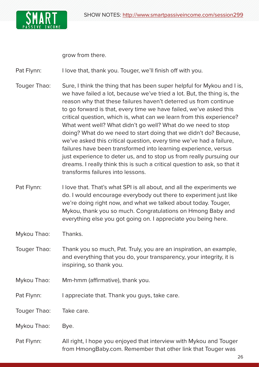

grow from there.

Pat Flynn: I love that, thank you. Touger, we'll finish off with you.

- Touger Thao: Sure, I think the thing that has been super helpful for Mykou and I is, we have failed a lot, because we've tried a lot. But, the thing is, the reason why that these failures haven't deterred us from continue to go forward is that, every time we have failed, we've asked this critical question, which is, what can we learn from this experience? What went well? What didn't go well? What do we need to stop doing? What do we need to start doing that we didn't do? Because, we've asked this critical question, every time we've had a failure, failures have been transformed into learning experience, versus just experience to deter us, and to stop us from really pursuing our dreams. I really think this is such a critical question to ask, so that it transforms failures into lessons.
- Pat Flynn: I love that. That's what SPI is all about, and all the experiments we do. I would encourage everybody out there to experiment just like we're doing right now, and what we talked about today. Touger, Mykou, thank you so much. Congratulations on Hmong Baby and everything else you got going on. I appreciate you being here.
- Mykou Thao: Thanks.
- Touger Thao: Thank you so much, Pat. Truly, you are an inspiration, an example, and everything that you do, your transparency, your integrity, it is inspiring, so thank you.
- Mykou Thao: Mm-hmm (affirmative), thank you.
- Pat Flynn: I appreciate that. Thank you guys, take care.
- Touger Thao: Take care.
- Mykou Thao: Bye.
- Pat Flynn: All right, I hope you enjoyed that interview with Mykou and Touger from HmongBaby.com. Remember that other link that Touger was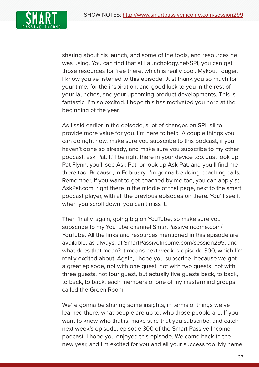

sharing about his launch, and some of the tools, and resources he was using. You can find that at Launchology.net/SPI, you can get those resources for free there, which is really cool. Mykou, Touger, I know you've listened to this episode. Just thank you so much for your time, for the inspiration, and good luck to you in the rest of your launches, and your upcoming product developments. This is fantastic. I'm so excited. I hope this has motivated you here at the beginning of the year.

As I said earlier in the episode, a lot of changes on SPI, all to provide more value for you. I'm here to help. A couple things you can do right now, make sure you subscribe to this podcast, if you haven't done so already, and make sure you subscribe to my other podcast, ask Pat. It'll be right there in your device too. Just look up Pat Flynn, you'll see Ask Pat, or look up Ask Pat, and you'll find me there too. Because, in February, I'm gonna be doing coaching calls. Remember, if you want to get coached by me too, you can apply at AskPat.com, right there in the middle of that page, next to the smart podcast player, with all the previous episodes on there. You'll see it when you scroll down, you can't miss it.

Then finally, again, going big on YouTube, so make sure you subscribe to my YouTube channel SmartPassiveIncome.com/ YouTube. All the links and resources mentioned in this episode are available, as always, at SmartPassiveIncome.com/session299, and what does that mean? It means next week is episode 300, which I'm really excited about. Again, I hope you subscribe, because we got a great episode, not with one guest, not with two guests, not with three guests, not four guest, but actually five guests back, to back, to back, to back, each members of one of my mastermind groups called the Green Room.

We're gonna be sharing some insights, in terms of things we've learned there, what people are up to, who those people are. If you want to know who that is, make sure that you subscribe, and catch next week's episode, episode 300 of the Smart Passive Income podcast. I hope you enjoyed this episode. Welcome back to the new year, and I'm excited for you and all your success too. My name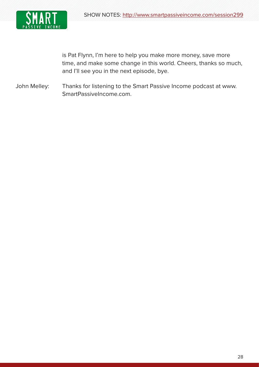

is Pat Flynn, I'm here to help you make more money, save more time, and make some change in this world. Cheers, thanks so much, and I'll see you in the next episode, bye.

John Melley: Thanks for listening to the Smart Passive Income podcast at www. SmartPassiveIncome.com.